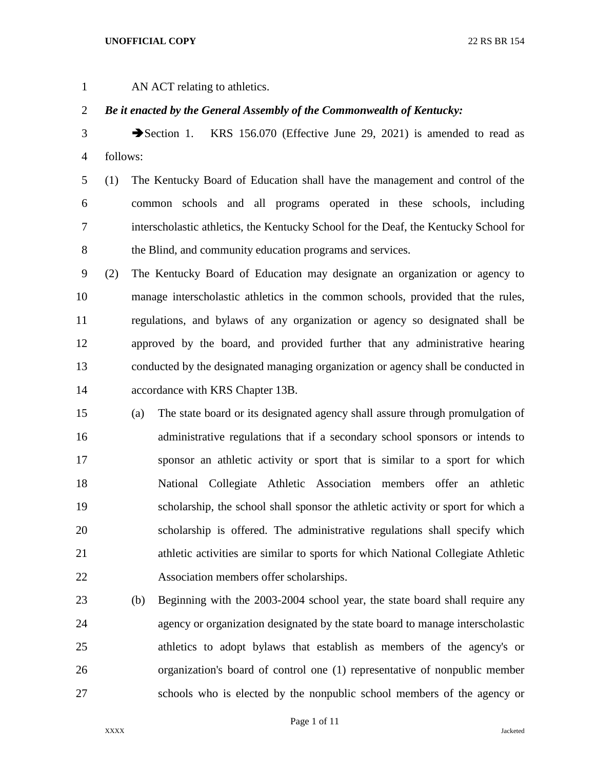AN ACT relating to athletics.

## *Be it enacted by the General Assembly of the Commonwealth of Kentucky:*

3 Section 1. KRS 156.070 (Effective June 29, 2021) is amended to read as follows:

 (1) The Kentucky Board of Education shall have the management and control of the common schools and all programs operated in these schools, including interscholastic athletics, the Kentucky School for the Deaf, the Kentucky School for the Blind, and community education programs and services.

 (2) The Kentucky Board of Education may designate an organization or agency to manage interscholastic athletics in the common schools, provided that the rules, regulations, and bylaws of any organization or agency so designated shall be approved by the board, and provided further that any administrative hearing conducted by the designated managing organization or agency shall be conducted in accordance with KRS Chapter 13B.

 (a) The state board or its designated agency shall assure through promulgation of administrative regulations that if a secondary school sponsors or intends to sponsor an athletic activity or sport that is similar to a sport for which National Collegiate Athletic Association members offer an athletic scholarship, the school shall sponsor the athletic activity or sport for which a scholarship is offered. The administrative regulations shall specify which athletic activities are similar to sports for which National Collegiate Athletic Association members offer scholarships.

 (b) Beginning with the 2003-2004 school year, the state board shall require any agency or organization designated by the state board to manage interscholastic athletics to adopt bylaws that establish as members of the agency's or organization's board of control one (1) representative of nonpublic member schools who is elected by the nonpublic school members of the agency or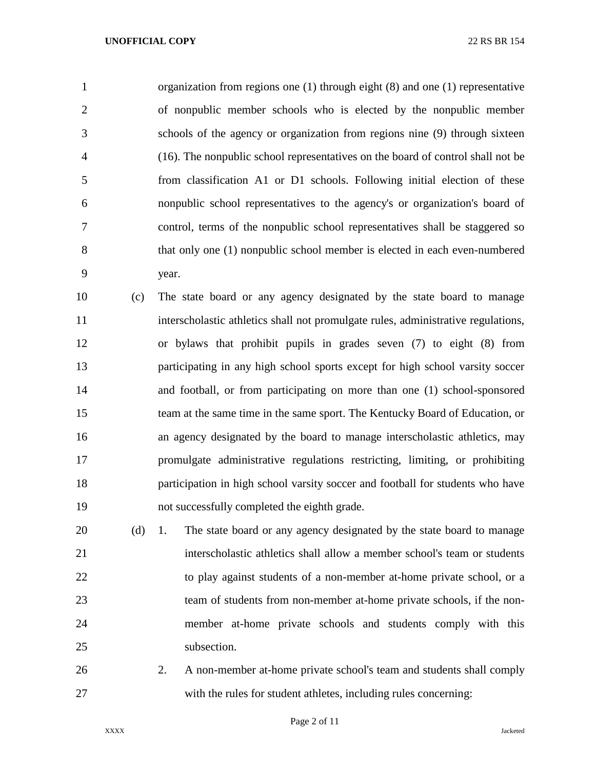organization from regions one (1) through eight (8) and one (1) representative of nonpublic member schools who is elected by the nonpublic member schools of the agency or organization from regions nine (9) through sixteen (16). The nonpublic school representatives on the board of control shall not be from classification A1 or D1 schools. Following initial election of these nonpublic school representatives to the agency's or organization's board of control, terms of the nonpublic school representatives shall be staggered so that only one (1) nonpublic school member is elected in each even-numbered year.

 (c) The state board or any agency designated by the state board to manage interscholastic athletics shall not promulgate rules, administrative regulations, or bylaws that prohibit pupils in grades seven (7) to eight (8) from participating in any high school sports except for high school varsity soccer and football, or from participating on more than one (1) school-sponsored team at the same time in the same sport. The Kentucky Board of Education, or an agency designated by the board to manage interscholastic athletics, may promulgate administrative regulations restricting, limiting, or prohibiting participation in high school varsity soccer and football for students who have not successfully completed the eighth grade.

 (d) 1. The state board or any agency designated by the state board to manage interscholastic athletics shall allow a member school's team or students to play against students of a non-member at-home private school, or a team of students from non-member at-home private schools, if the non- member at-home private schools and students comply with this 25 subsection.

 2. A non-member at-home private school's team and students shall comply with the rules for student athletes, including rules concerning: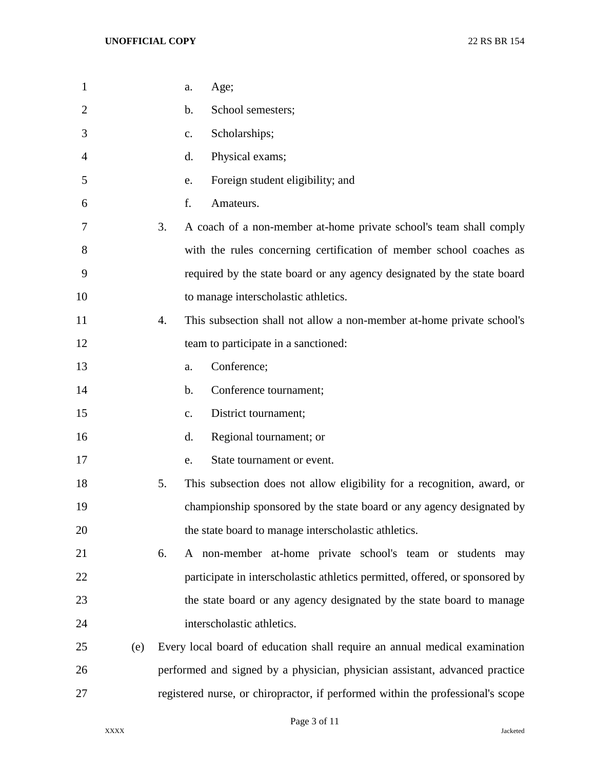| $\mathbf{1}$   |     | Age;<br>a.                                                                      |
|----------------|-----|---------------------------------------------------------------------------------|
| $\overline{2}$ |     | School semesters;<br>b.                                                         |
| 3              |     | Scholarships;<br>$\mathbf{c}$ .                                                 |
| 4              |     | Physical exams;<br>d.                                                           |
| 5              |     | Foreign student eligibility; and<br>e.                                          |
| 6              |     | f.<br>Amateurs.                                                                 |
| 7              |     | 3.<br>A coach of a non-member at-home private school's team shall comply        |
| 8              |     | with the rules concerning certification of member school coaches as             |
| 9              |     | required by the state board or any agency designated by the state board         |
| 10             |     | to manage interscholastic athletics.                                            |
| 11             |     | This subsection shall not allow a non-member at-home private school's<br>4.     |
| 12             |     | team to participate in a sanctioned:                                            |
| 13             |     | Conference;<br>a.                                                               |
| 14             |     | Conference tournament;<br>b.                                                    |
| 15             |     | District tournament;<br>c.                                                      |
| 16             |     | d.<br>Regional tournament; or                                                   |
| 17             |     | State tournament or event.<br>e.                                                |
| 18             |     | 5.<br>This subsection does not allow eligibility for a recognition, award, or   |
| 19             |     | championship sponsored by the state board or any agency designated by           |
| 20             |     | the state board to manage interscholastic athletics.                            |
| 21             |     | A non-member at-home private school's team or students may<br>6.                |
| 22             |     | participate in interscholastic athletics permitted, offered, or sponsored by    |
| 23             |     | the state board or any agency designated by the state board to manage           |
| 24             |     | interscholastic athletics.                                                      |
| 25             | (e) | Every local board of education shall require an annual medical examination      |
| 26             |     | performed and signed by a physician, physician assistant, advanced practice     |
| 27             |     | registered nurse, or chiropractor, if performed within the professional's scope |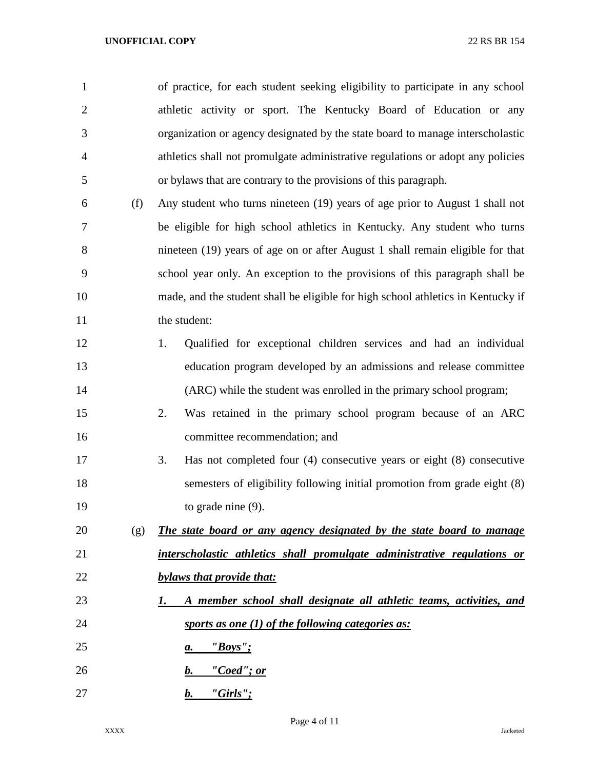| $\mathbf{1}$   |     | of practice, for each student seeking eligibility to participate in any school   |
|----------------|-----|----------------------------------------------------------------------------------|
| $\overline{2}$ |     | athletic activity or sport. The Kentucky Board of Education or any               |
| 3              |     | organization or agency designated by the state board to manage interscholastic   |
| 4              |     | athletics shall not promulgate administrative regulations or adopt any policies  |
| 5              |     | or bylaws that are contrary to the provisions of this paragraph.                 |
| 6              | (f) | Any student who turns nineteen (19) years of age prior to August 1 shall not     |
| 7              |     | be eligible for high school athletics in Kentucky. Any student who turns         |
| 8              |     | nineteen (19) years of age on or after August 1 shall remain eligible for that   |
| 9              |     | school year only. An exception to the provisions of this paragraph shall be      |
| 10             |     | made, and the student shall be eligible for high school athletics in Kentucky if |
| 11             |     | the student:                                                                     |
| 12             |     | 1.<br>Qualified for exceptional children services and had an individual          |
| 13             |     | education program developed by an admissions and release committee               |
| 14             |     | (ARC) while the student was enrolled in the primary school program;              |
| 15             |     | 2.<br>Was retained in the primary school program because of an ARC               |
| 16             |     | committee recommendation; and                                                    |
| 17             |     | Has not completed four $(4)$ consecutive years or eight $(8)$ consecutive<br>3.  |
| 18             |     | semesters of eligibility following initial promotion from grade eight (8)        |
| 19             |     | to grade nine $(9)$ .                                                            |
| 20             | (g) | The state board or any agency designated by the state board to manage            |
| 21             |     | interscholastic athletics shall promulgate administrative regulations or         |
| 22             |     | bylaws that provide that:                                                        |
| 23             |     | A member school shall designate all athletic teams, activities, and<br>1.        |
| 24             |     | sports as one $(1)$ of the following categories as:                              |
| 25             |     | <u>"Boys";</u><br>а.                                                             |
| 26             |     | <u>"Coed"; or</u><br>b.                                                          |
| 27             |     | <u>"Girls";</u><br>b.                                                            |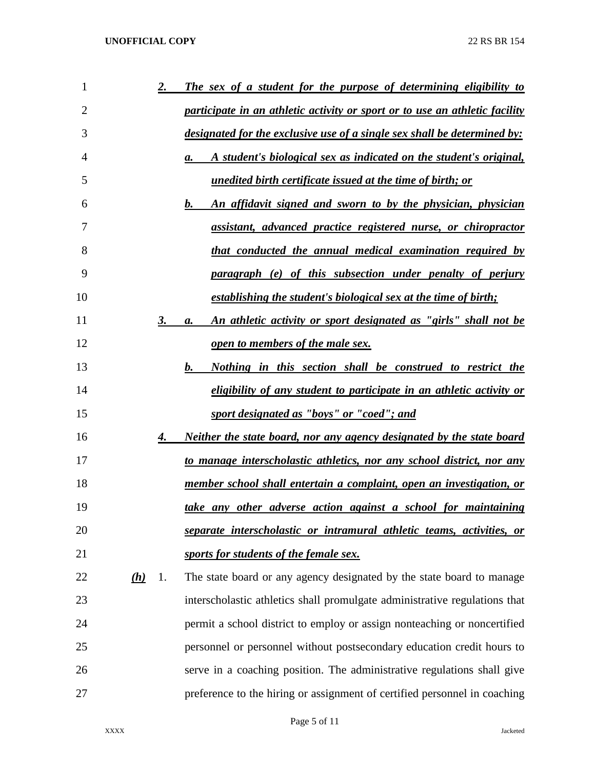| 1              |     | <u>2.</u> | The sex of a student for the purpose of determining eligibility to                |
|----------------|-----|-----------|-----------------------------------------------------------------------------------|
| $\overline{2}$ |     |           | participate in an athletic activity or sport or to use an athletic facility       |
| 3              |     |           | <u>designated for the exclusive use of a single sex shall be determined by:</u>   |
| $\overline{4}$ |     |           | A student's biological sex as indicated on the student's original,<br>а.          |
| 5              |     |           | <u>unedited birth certificate issued at the time of birth; or</u>                 |
| 6              |     |           | $\bm{b}$ .<br><u>An affidavit signed and sworn to by the physician, physician</u> |
| 7              |     |           | assistant, advanced practice registered nurse, or chiropractor                    |
| 8              |     |           | <u>that conducted the annual medical examination required by</u>                  |
| 9              |     |           | paragraph (e) of this subsection under penalty of perjury                         |
| 10             |     |           | establishing the student's biological sex at the time of birth;                   |
| 11             |     | 3.        | <u>An athletic activity or sport designated as "girls" shall not be</u><br>a.     |
| 12             |     |           | <u>open to members of the male sex.</u>                                           |
| 13             |     |           | <b>b.</b><br><u>Nothing in this section shall be construed to restrict the</u>    |
| 14             |     |           | eligibility of any student to participate in an athletic activity or              |
| 15             |     |           | sport designated as "boys" or "coed"; and                                         |
| 16             |     | 4.        | <u>Neither the state board, nor any agency designated by the state board</u>      |
| 17             |     |           | <u>to manage interscholastic athletics, nor any school district, nor any</u>      |
| 18             |     |           | member school shall entertain a complaint, open an investigation, or              |
| 19             |     |           | take any other adverse action against a school for maintaining                    |
| 20             |     |           | separate interscholastic or intramural athletic teams, activities, or             |
| 21             |     |           | sports for students of the female sex.                                            |
| 22             | (h) | 1.        | The state board or any agency designated by the state board to manage             |
| 23             |     |           | interscholastic athletics shall promulgate administrative regulations that        |
| 24             |     |           | permit a school district to employ or assign nonteaching or noncertified          |
| 25             |     |           | personnel or personnel without postsecondary education credit hours to            |
| 26             |     |           | serve in a coaching position. The administrative regulations shall give           |
| 27             |     |           | preference to the hiring or assignment of certified personnel in coaching         |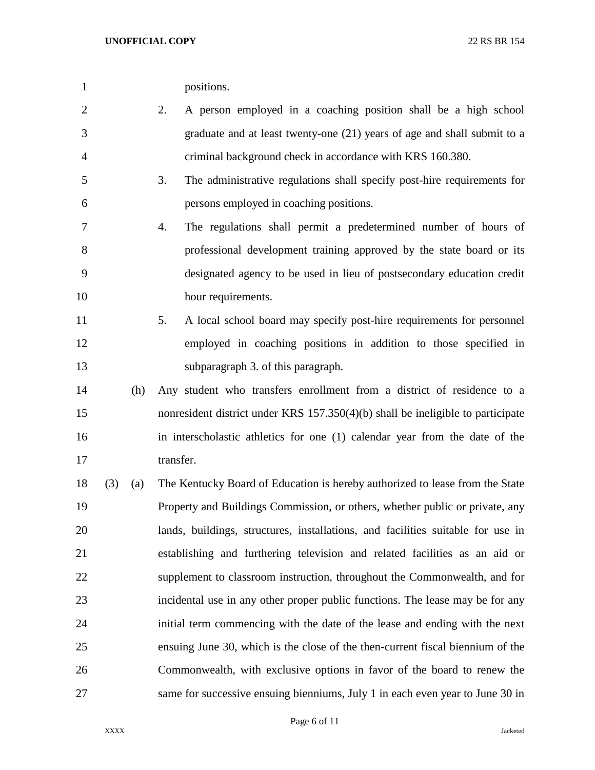|  | positions. |
|--|------------|
|--|------------|

- 2. A person employed in a coaching position shall be a high school graduate and at least twenty-one (21) years of age and shall submit to a criminal background check in accordance with KRS 160.380.
- 3. The administrative regulations shall specify post-hire requirements for persons employed in coaching positions.
- 4. The regulations shall permit a predetermined number of hours of professional development training approved by the state board or its designated agency to be used in lieu of postsecondary education credit 10 hour requirements.
- 5. A local school board may specify post-hire requirements for personnel employed in coaching positions in addition to those specified in subparagraph 3. of this paragraph.
- (h) Any student who transfers enrollment from a district of residence to a nonresident district under KRS 157.350(4)(b) shall be ineligible to participate in interscholastic athletics for one (1) calendar year from the date of the 17 transfer.
- (3) (a) The Kentucky Board of Education is hereby authorized to lease from the State Property and Buildings Commission, or others, whether public or private, any lands, buildings, structures, installations, and facilities suitable for use in establishing and furthering television and related facilities as an aid or supplement to classroom instruction, throughout the Commonwealth, and for incidental use in any other proper public functions. The lease may be for any initial term commencing with the date of the lease and ending with the next ensuing June 30, which is the close of the then-current fiscal biennium of the Commonwealth, with exclusive options in favor of the board to renew the same for successive ensuing bienniums, July 1 in each even year to June 30 in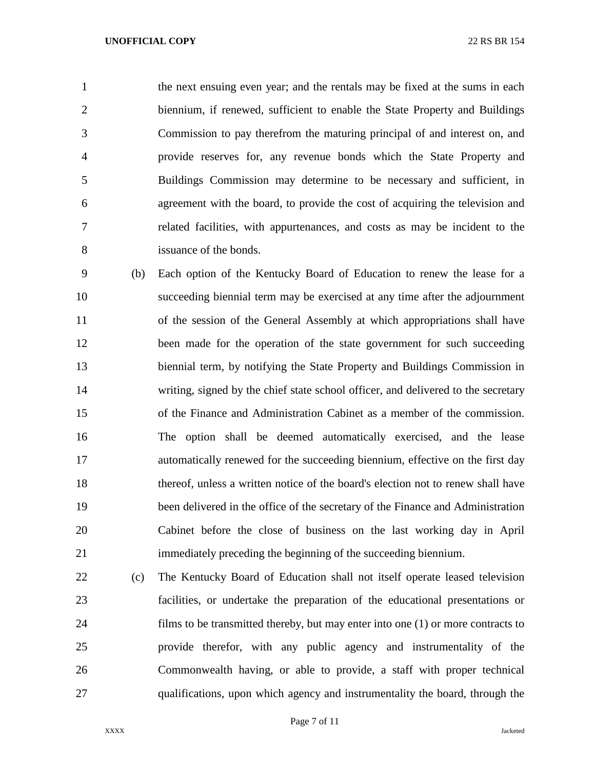the next ensuing even year; and the rentals may be fixed at the sums in each biennium, if renewed, sufficient to enable the State Property and Buildings Commission to pay therefrom the maturing principal of and interest on, and provide reserves for, any revenue bonds which the State Property and Buildings Commission may determine to be necessary and sufficient, in agreement with the board, to provide the cost of acquiring the television and related facilities, with appurtenances, and costs as may be incident to the issuance of the bonds.

 (b) Each option of the Kentucky Board of Education to renew the lease for a succeeding biennial term may be exercised at any time after the adjournment of the session of the General Assembly at which appropriations shall have 12 been made for the operation of the state government for such succeeding biennial term, by notifying the State Property and Buildings Commission in writing, signed by the chief state school officer, and delivered to the secretary of the Finance and Administration Cabinet as a member of the commission. The option shall be deemed automatically exercised, and the lease automatically renewed for the succeeding biennium, effective on the first day thereof, unless a written notice of the board's election not to renew shall have been delivered in the office of the secretary of the Finance and Administration Cabinet before the close of business on the last working day in April immediately preceding the beginning of the succeeding biennium.

 (c) The Kentucky Board of Education shall not itself operate leased television facilities, or undertake the preparation of the educational presentations or films to be transmitted thereby, but may enter into one (1) or more contracts to provide therefor, with any public agency and instrumentality of the Commonwealth having, or able to provide, a staff with proper technical qualifications, upon which agency and instrumentality the board, through the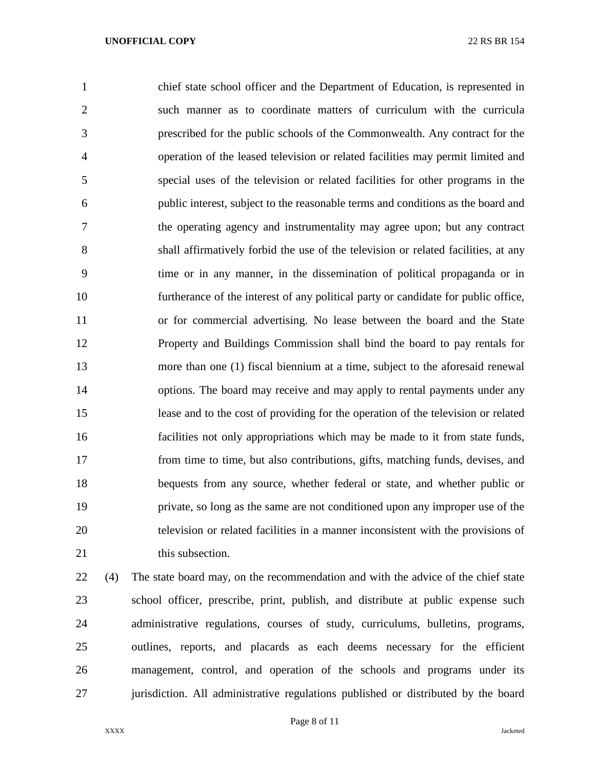chief state school officer and the Department of Education, is represented in such manner as to coordinate matters of curriculum with the curricula prescribed for the public schools of the Commonwealth. Any contract for the operation of the leased television or related facilities may permit limited and special uses of the television or related facilities for other programs in the public interest, subject to the reasonable terms and conditions as the board and the operating agency and instrumentality may agree upon; but any contract shall affirmatively forbid the use of the television or related facilities, at any time or in any manner, in the dissemination of political propaganda or in furtherance of the interest of any political party or candidate for public office, or for commercial advertising. No lease between the board and the State Property and Buildings Commission shall bind the board to pay rentals for more than one (1) fiscal biennium at a time, subject to the aforesaid renewal options. The board may receive and may apply to rental payments under any lease and to the cost of providing for the operation of the television or related facilities not only appropriations which may be made to it from state funds, from time to time, but also contributions, gifts, matching funds, devises, and bequests from any source, whether federal or state, and whether public or private, so long as the same are not conditioned upon any improper use of the television or related facilities in a manner inconsistent with the provisions of 21 this subsection.

 (4) The state board may, on the recommendation and with the advice of the chief state school officer, prescribe, print, publish, and distribute at public expense such administrative regulations, courses of study, curriculums, bulletins, programs, outlines, reports, and placards as each deems necessary for the efficient management, control, and operation of the schools and programs under its jurisdiction. All administrative regulations published or distributed by the board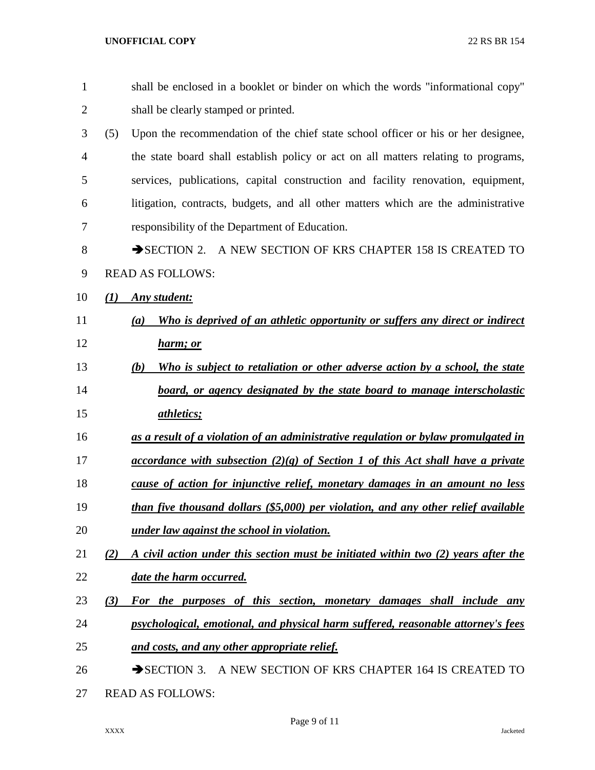| $\mathbf{1}$   | shall be enclosed in a booklet or binder on which the words "informational copy"          |
|----------------|-------------------------------------------------------------------------------------------|
| $\overline{2}$ | shall be clearly stamped or printed.                                                      |
| 3              | (5)<br>Upon the recommendation of the chief state school officer or his or her designee,  |
| $\overline{4}$ | the state board shall establish policy or act on all matters relating to programs,        |
| 5              | services, publications, capital construction and facility renovation, equipment,          |
| 6              | litigation, contracts, budgets, and all other matters which are the administrative        |
| 7              | responsibility of the Department of Education.                                            |
| 8              | SECTION 2. A NEW SECTION OF KRS CHAPTER 158 IS CREATED TO                                 |
| 9              | <b>READ AS FOLLOWS:</b>                                                                   |
| 10             | <b>Any</b> student:<br>(1)                                                                |
| 11             | Who is deprived of an athletic opportunity or suffers any direct or indirect<br>(a)       |
| 12             | <u>harm; or</u>                                                                           |
| 13             | Who is subject to retaliation or other adverse action by a school, the state<br>(b)       |
| 14             | board, or agency designated by the state board to manage interscholastic                  |
| 15             | <i>athletics</i> ;                                                                        |
| 16             | as a result of a violation of an administrative regulation or bylaw promulgated in        |
| 17             | <u>accordance with subsection (2)(g) of Section 1 of this Act shall have a private</u>    |
| 18             | cause of action for injunctive relief, monetary damages in an amount no less              |
| 19             | than five thousand dollars (\$5,000) per violation, and any other relief available        |
| 20             | under law against the school in violation.                                                |
| 21             | A civil action under this section must be initiated within two (2) years after the<br>(2) |
| 22             | date the harm occurred.                                                                   |
| 23             | For the purposes of this section, monetary damages shall include any<br>(3)               |
| 24             | psychological, emotional, and physical harm suffered, reasonable attorney's fees          |
| 25             | and costs, and any other appropriate relief.                                              |
| 26             | SECTION 3. A NEW SECTION OF KRS CHAPTER 164 IS CREATED TO                                 |
| 27             | <b>READ AS FOLLOWS:</b>                                                                   |

Page 9 of 11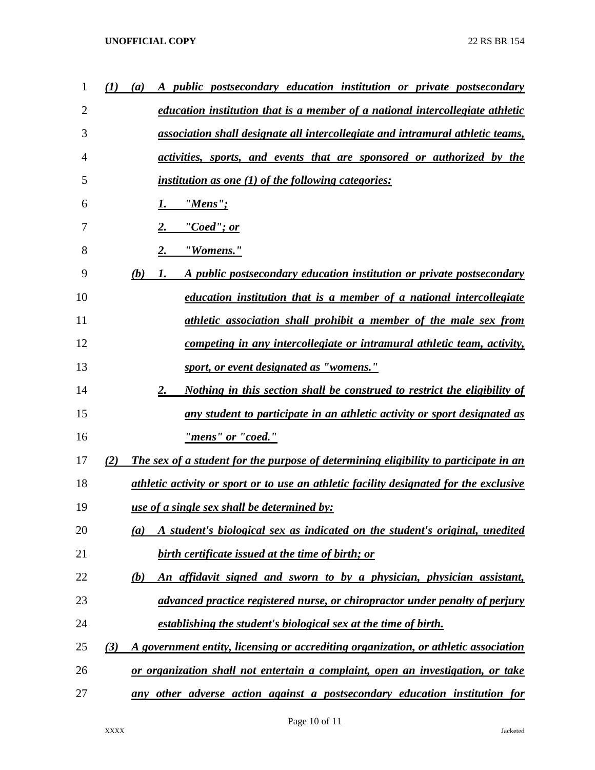## **UNOFFICIAL COPY** 22 RS BR 154

| 1  | (I)<br>(a) | A public postsecondary education institution or private postsecondary                  |
|----|------------|----------------------------------------------------------------------------------------|
| 2  |            | education institution that is a member of a national intercollegiate athletic          |
| 3  |            | association shall designate all intercollegiate and intramural athletic teams,         |
| 4  |            | activities, sports, and events that are sponsored or authorized by the                 |
| 5  |            | <i>institution as one (1) of the following categories:</i>                             |
| 6  |            | $"Mens"$ ;<br>1.                                                                       |
| 7  |            | "Coed"; or                                                                             |
| 8  |            | 2.<br>"Womens."                                                                        |
| 9  | (b)        | A public postsecondary education institution or private postsecondary<br>1.            |
| 10 |            | <u>education institution that is a member of a national intercollegiate</u>            |
| 11 |            | athletic association shall prohibit a member of the male sex from                      |
| 12 |            | competing in any intercollegiate or intramural athletic team, activity,                |
| 13 |            | sport, or event designated as "womens."                                                |
| 14 |            | 2.<br><u>Nothing in this section shall be construed to restrict the eligibility of</u> |
| 15 |            | any student to participate in an athletic activity or sport designated as              |
| 16 |            | "mens" or "coed."                                                                      |
| 17 | (2)        | The sex of a student for the purpose of determining eligibility to participate in an   |
| 18 |            | athletic activity or sport or to use an athletic facility designated for the exclusive |
| 19 |            | <u>use of a single sex shall be determined by:</u>                                     |
| 20 | (a)        | A student's biological sex as indicated on the student's original, unedited            |
| 21 |            | <b>birth certificate issued at the time of birth; or</b>                               |
| 22 | (b)        | <u>An affidavit signed and sworn to by a physician, physician assistant,</u>           |
| 23 |            | advanced practice registered nurse, or chiropractor under penalty of perjury           |
| 24 |            | establishing the student's biological sex at the time of birth.                        |
| 25 | (3)        | A government entity, licensing or accrediting organization, or athletic association    |
| 26 |            | or organization shall not entertain a complaint, open an investigation, or take        |
| 27 | any        | other adverse action against a postsecondary education institution for                 |